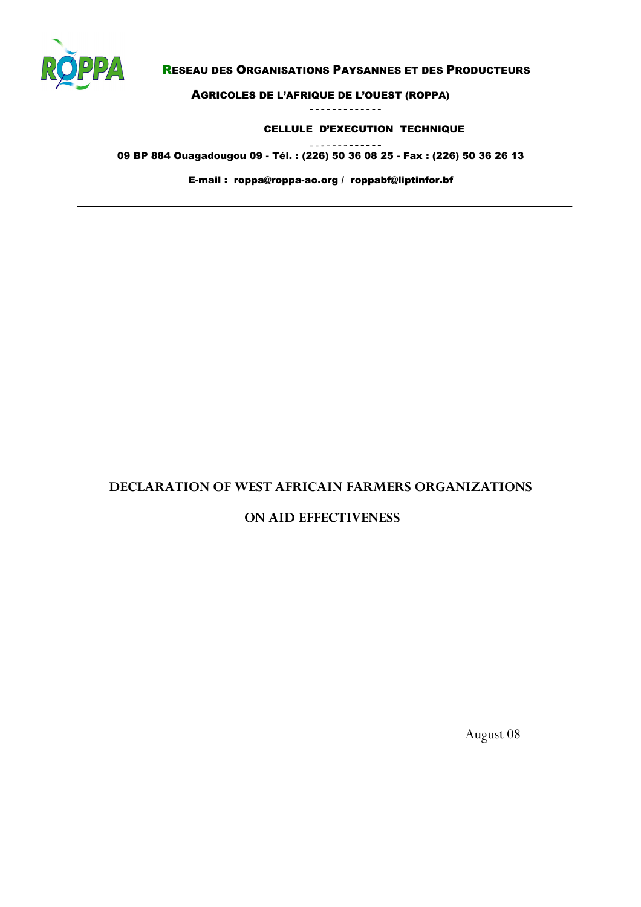

**P/4** RESEAU DES ORGANISATIONS PAYSANNES ET DES PRODUCTEURS

AGRICOLES DE L'AFRIQUE DE L'OUEST (ROPPA)

<u> - - - - - - - - - - - -</u>

CELLULE D'EXECUTION TECHNIQUE

-------------09 BP 884 Ouagadougou 09 - Tél. : (226) 50 36 08 25 - Fax : (226) 50 36 26 13

E-mail : roppa@roppa-ao.org / roppabf@liptinfor.bf

# DECLARATION OF WEST AFRICAIN FARMERS ORGANIZATIONS

## ON AID EFFECTIVENESS

August 08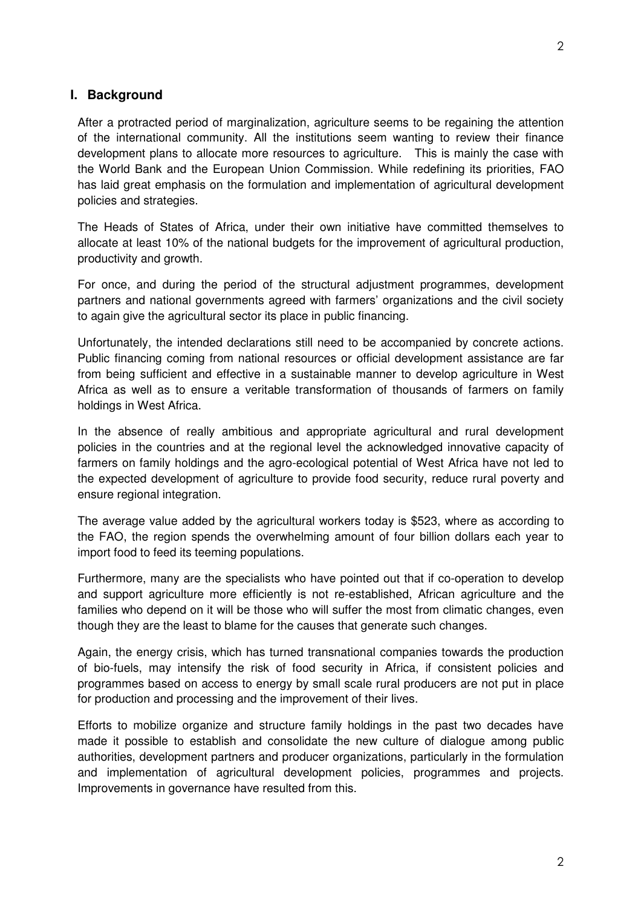#### **I. Background**

After a protracted period of marginalization, agriculture seems to be regaining the attention of the international community. All the institutions seem wanting to review their finance development plans to allocate more resources to agriculture. This is mainly the case with the World Bank and the European Union Commission. While redefining its priorities, FAO has laid great emphasis on the formulation and implementation of agricultural development policies and strategies.

The Heads of States of Africa, under their own initiative have committed themselves to allocate at least 10% of the national budgets for the improvement of agricultural production, productivity and growth.

For once, and during the period of the structural adjustment programmes, development partners and national governments agreed with farmers' organizations and the civil society to again give the agricultural sector its place in public financing.

Unfortunately, the intended declarations still need to be accompanied by concrete actions. Public financing coming from national resources or official development assistance are far from being sufficient and effective in a sustainable manner to develop agriculture in West Africa as well as to ensure a veritable transformation of thousands of farmers on family holdings in West Africa.

In the absence of really ambitious and appropriate agricultural and rural development policies in the countries and at the regional level the acknowledged innovative capacity of farmers on family holdings and the agro-ecological potential of West Africa have not led to the expected development of agriculture to provide food security, reduce rural poverty and ensure regional integration.

The average value added by the agricultural workers today is \$523, where as according to the FAO, the region spends the overwhelming amount of four billion dollars each year to import food to feed its teeming populations.

Furthermore, many are the specialists who have pointed out that if co-operation to develop and support agriculture more efficiently is not re-established, African agriculture and the families who depend on it will be those who will suffer the most from climatic changes, even though they are the least to blame for the causes that generate such changes.

Again, the energy crisis, which has turned transnational companies towards the production of bio-fuels, may intensify the risk of food security in Africa, if consistent policies and programmes based on access to energy by small scale rural producers are not put in place for production and processing and the improvement of their lives.

Efforts to mobilize organize and structure family holdings in the past two decades have made it possible to establish and consolidate the new culture of dialogue among public authorities, development partners and producer organizations, particularly in the formulation and implementation of agricultural development policies, programmes and projects. Improvements in governance have resulted from this.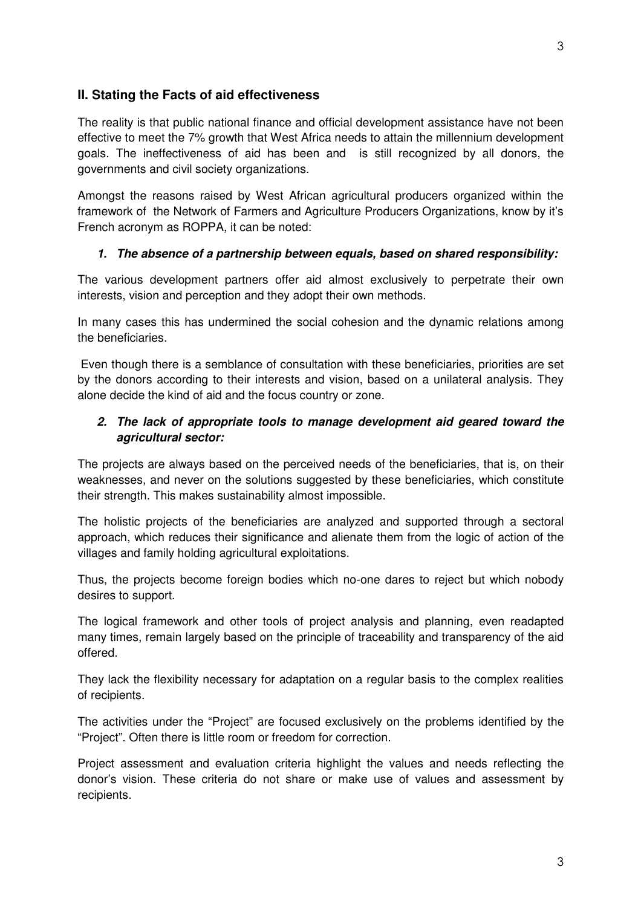# **II. Stating the Facts of aid effectiveness**

The reality is that public national finance and official development assistance have not been effective to meet the 7% growth that West Africa needs to attain the millennium development goals. The ineffectiveness of aid has been and is still recognized by all donors, the governments and civil society organizations.

Amongst the reasons raised by West African agricultural producers organized within the framework of the Network of Farmers and Agriculture Producers Organizations, know by it's French acronym as ROPPA, it can be noted:

# **1. The absence of a partnership between equals, based on shared responsibility:**

The various development partners offer aid almost exclusively to perpetrate their own interests, vision and perception and they adopt their own methods.

In many cases this has undermined the social cohesion and the dynamic relations among the beneficiaries.

 Even though there is a semblance of consultation with these beneficiaries, priorities are set by the donors according to their interests and vision, based on a unilateral analysis. They alone decide the kind of aid and the focus country or zone.

## **2. The lack of appropriate tools to manage development aid geared toward the agricultural sector:**

The projects are always based on the perceived needs of the beneficiaries, that is, on their weaknesses, and never on the solutions suggested by these beneficiaries, which constitute their strength. This makes sustainability almost impossible.

The holistic projects of the beneficiaries are analyzed and supported through a sectoral approach, which reduces their significance and alienate them from the logic of action of the villages and family holding agricultural exploitations.

Thus, the projects become foreign bodies which no-one dares to reject but which nobody desires to support.

The logical framework and other tools of project analysis and planning, even readapted many times, remain largely based on the principle of traceability and transparency of the aid offered.

They lack the flexibility necessary for adaptation on a regular basis to the complex realities of recipients.

The activities under the "Project" are focused exclusively on the problems identified by the "Project". Often there is little room or freedom for correction.

Project assessment and evaluation criteria highlight the values and needs reflecting the donor's vision. These criteria do not share or make use of values and assessment by recipients.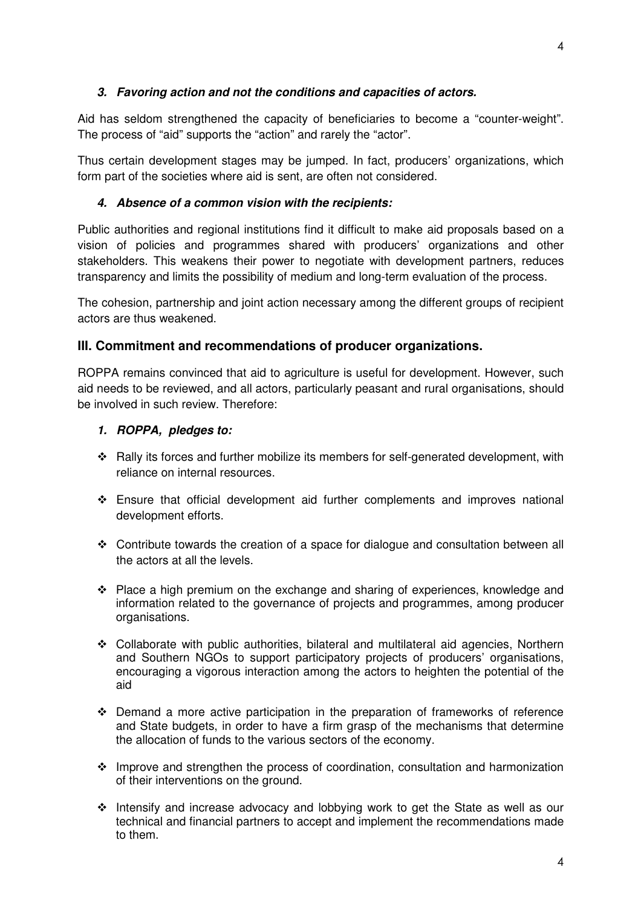Aid has seldom strengthened the capacity of beneficiaries to become a "counter-weight". The process of "aid" supports the "action" and rarely the "actor".

Thus certain development stages may be jumped. In fact, producers' organizations, which form part of the societies where aid is sent, are often not considered.

### **4. Absence of a common vision with the recipients:**

Public authorities and regional institutions find it difficult to make aid proposals based on a vision of policies and programmes shared with producers' organizations and other stakeholders. This weakens their power to negotiate with development partners, reduces transparency and limits the possibility of medium and long-term evaluation of the process.

The cohesion, partnership and joint action necessary among the different groups of recipient actors are thus weakened.

### **III. Commitment and recommendations of producer organizations.**

ROPPA remains convinced that aid to agriculture is useful for development. However, such aid needs to be reviewed, and all actors, particularly peasant and rural organisations, should be involved in such review. Therefore:

### **1. ROPPA, pledges to:**

- $\cdot$  Rally its forces and further mobilize its members for self-generated development, with reliance on internal resources.
- Ensure that official development aid further complements and improves national development efforts.
- \* Contribute towards the creation of a space for dialogue and consultation between all the actors at all the levels.
- Place a high premium on the exchange and sharing of experiences, knowledge and information related to the governance of projects and programmes, among producer organisations.
- Collaborate with public authorities, bilateral and multilateral aid agencies, Northern and Southern NGOs to support participatory projects of producers' organisations, encouraging a vigorous interaction among the actors to heighten the potential of the aid
- Demand a more active participation in the preparation of frameworks of reference and State budgets, in order to have a firm grasp of the mechanisms that determine the allocation of funds to the various sectors of the economy.
- $\div$  Improve and strengthen the process of coordination, consultation and harmonization of their interventions on the ground.
- Intensify and increase advocacy and lobbying work to get the State as well as our technical and financial partners to accept and implement the recommendations made to them.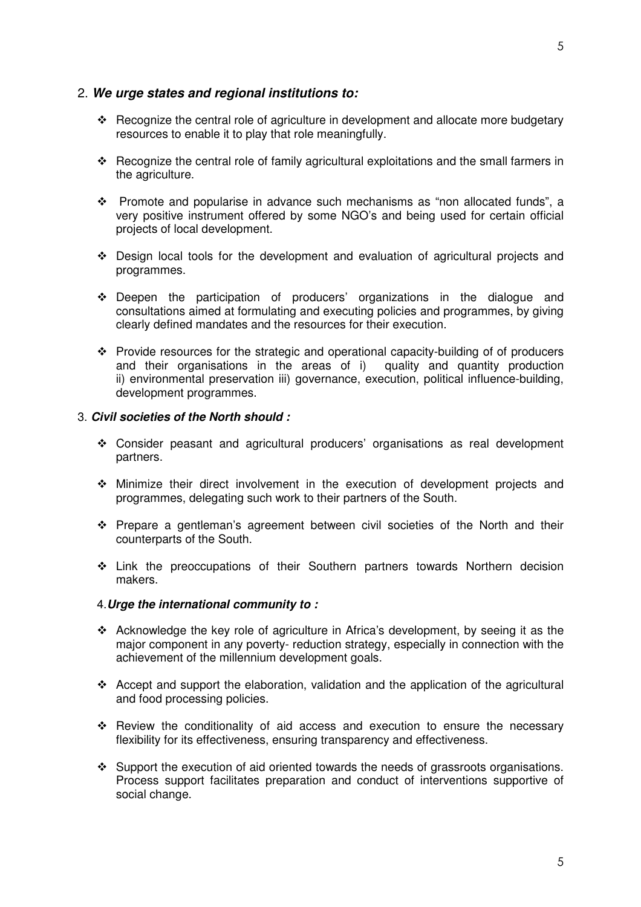## 2. **We urge states and regional institutions to:**

- $\cdot$  Recognize the central role of agriculture in development and allocate more budgetary resources to enable it to play that role meaningfully.
- Recognize the central role of family agricultural exploitations and the small farmers in the agriculture.
- **Promote and popularise in advance such mechanisms as "non allocated funds", a** very positive instrument offered by some NGO's and being used for certain official projects of local development.
- $\div$  Design local tools for the development and evaluation of agricultural projects and programmes.
- Deepen the participation of producers' organizations in the dialogue and consultations aimed at formulating and executing policies and programmes, by giving clearly defined mandates and the resources for their execution.
- $\cdot \cdot$  Provide resources for the strategic and operational capacity-building of of producers and their organisations in the areas of i) quality and quantity production ii) environmental preservation iii) governance, execution, political influence-building, development programmes.

### 3. **Civil societies of the North should :**

- Consider peasant and agricultural producers' organisations as real development partners.
- Minimize their direct involvement in the execution of development projects and programmes, delegating such work to their partners of the South.
- $\div$  Prepare a gentleman's agreement between civil societies of the North and their counterparts of the South.
- Link the preoccupations of their Southern partners towards Northern decision makers.

### 4.**Urge the international community to :**

- Acknowledge the key role of agriculture in Africa's development, by seeing it as the major component in any poverty- reduction strategy, especially in connection with the achievement of the millennium development goals.
- Accept and support the elaboration, validation and the application of the agricultural and food processing policies.
- $\div$  Review the conditionality of aid access and execution to ensure the necessary flexibility for its effectiveness, ensuring transparency and effectiveness.
- $\div$  Support the execution of aid oriented towards the needs of grassroots organisations. Process support facilitates preparation and conduct of interventions supportive of social change.